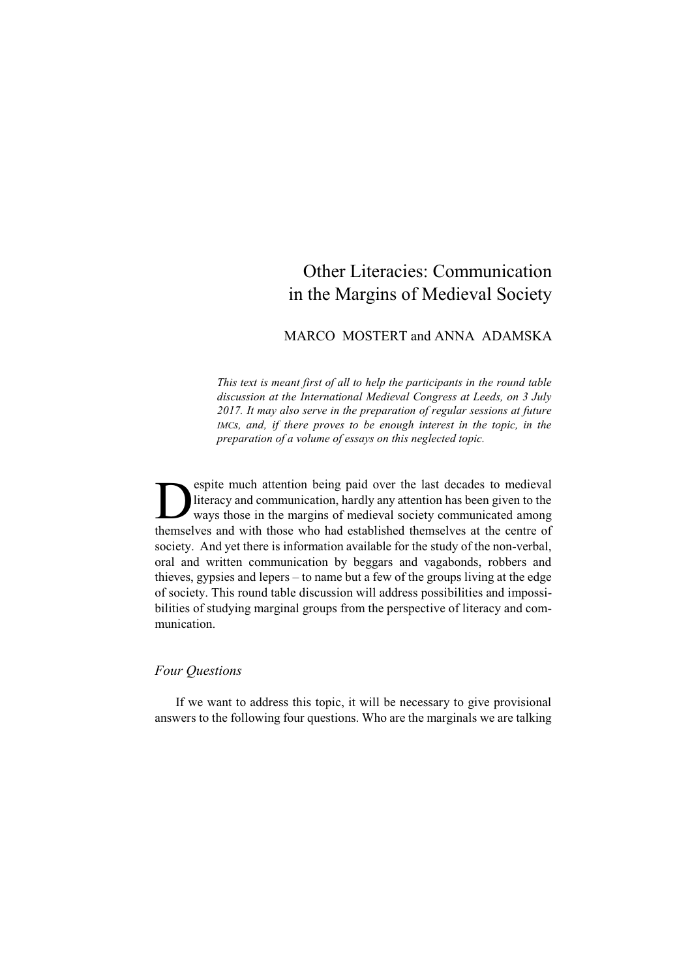# Other Literacies: Communication in the Margins of Medieval Society

# MARCO MOSTERT and ANNA ADAMSKA

*This text is meant first of all to help the participants in the round table discussion at the International Medieval Congress at Leeds, on 3 July 2017. It may also serve in the preparation of regular sessions at future IMCs, and, if there proves to be enough interest in the topic, in the preparation of a volume of essays on this neglected topic.*

**EXECUTE:** Spite much attention being paid over the last decades to medieval literacy and communication, hardly any attention has been given to the ways those in the margins of medieval society communicated among themselve espite much attention being paid over the last decades to medieval literacy and communication, hardly any attention has been given to the ways those in the margins of medieval society communicated among society. And yet there is information available for the study of the non-verbal, oral and written communication by beggars and vagabonds, robbers and thieves, gypsies and lepers – to name but a few of the groups living at the edge of society. This round table discussion will address possibilities and impossibilities of studying marginal groups from the perspective of literacy and communication.

# *Four Questions*

If we want to address this topic, it will be necessary to give provisional answers to the following four questions. Who are the marginals we are talking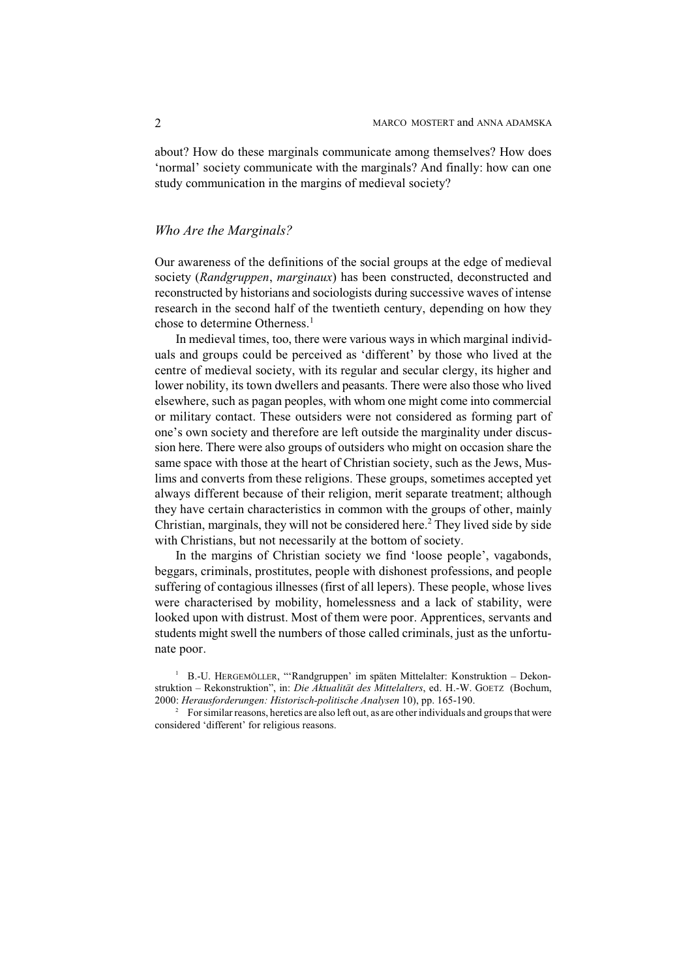about? How do these marginals communicate among themselves? How does 'normal' society communicate with the marginals? And finally: how can one study communication in the margins of medieval society?

## *Who Are the Marginals?*

Our awareness of the definitions of the social groups at the edge of medieval society (*Randgruppen*, *marginaux*) has been constructed, deconstructed and reconstructed by historians and sociologists during successive waves of intense research in the second half of the twentieth century, depending on how they chose to determine Otherness.<sup>1</sup>

In medieval times, too, there were various ways in which marginal individuals and groups could be perceived as 'different' by those who lived at the centre of medieval society, with its regular and secular clergy, its higher and lower nobility, its town dwellers and peasants. There were also those who lived elsewhere, such as pagan peoples, with whom one might come into commercial or military contact. These outsiders were not considered as forming part of one's own society and therefore are left outside the marginality under discussion here. There were also groups of outsiders who might on occasion share the same space with those at the heart of Christian society, such as the Jews, Muslims and converts from these religions. These groups, sometimes accepted yet always different because of their religion, merit separate treatment; although they have certain characteristics in common with the groups of other, mainly Christian, marginals, they will not be considered here.<sup>2</sup> They lived side by side with Christians, but not necessarily at the bottom of society.

In the margins of Christian society we find 'loose people', vagabonds, beggars, criminals, prostitutes, people with dishonest professions, and people suffering of contagious illnesses (first of all lepers). These people, whose lives were characterised by mobility, homelessness and a lack of stability, were looked upon with distrust. Most of them were poor. Apprentices, servants and students might swell the numbers of those called criminals, just as the unfortunate poor.

<sup>&</sup>lt;sup>1</sup> B.-U. HERGEMÖLLER, "'Randgruppen' im späten Mittelalter: Konstruktion – Dekonstruktion – Rekonstruktion", in: *Die Aktualität des Mittelalters*, ed. H.-W. GOETZ (Bochum, 2000: *Herausforderungen: Historisch-politische Analysen* 10), pp. 165-190.

<sup>&</sup>lt;sup>2</sup> For similar reasons, heretics are also left out, as are other individuals and groups that were considered 'different' for religious reasons.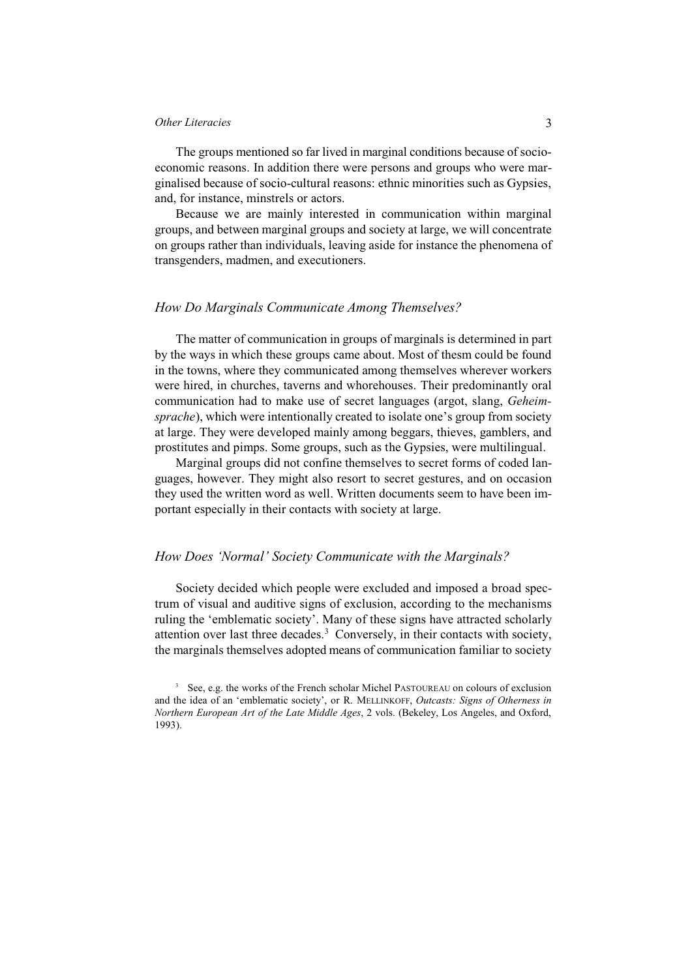#### *Other Literacies* 3

The groups mentioned so far lived in marginal conditions because of socioeconomic reasons. In addition there were persons and groups who were marginalised because of socio-cultural reasons: ethnic minorities such as Gypsies, and, for instance, minstrels or actors.

Because we are mainly interested in communication within marginal groups, and between marginal groups and society at large, we will concentrate on groups rather than individuals, leaving aside for instance the phenomena of transgenders, madmen, and executioners.

## *How Do Marginals Communicate Among Themselves?*

The matter of communication in groups of marginals is determined in part by the ways in which these groups came about. Most of thesm could be found in the towns, where they communicated among themselves wherever workers were hired, in churches, taverns and whorehouses. Their predominantly oral communication had to make use of secret languages (argot, slang, *Geheimsprache*), which were intentionally created to isolate one's group from society at large. They were developed mainly among beggars, thieves, gamblers, and prostitutes and pimps. Some groups, such as the Gypsies, were multilingual.

Marginal groups did not confine themselves to secret forms of coded languages, however. They might also resort to secret gestures, and on occasion they used the written word as well. Written documents seem to have been important especially in their contacts with society at large.

### *How Does 'Normal' Society Communicate with the Marginals?*

Society decided which people were excluded and imposed a broad spectrum of visual and auditive signs of exclusion, according to the mechanisms ruling the 'emblematic society'. Many of these signs have attracted scholarly attention over last three decades.<sup>3</sup> Conversely, in their contacts with society, the marginals themselves adopted means of communication familiar to society

<sup>&</sup>lt;sup>3</sup> See, e.g. the works of the French scholar Michel PASTOUREAU on colours of exclusion and the idea of an 'emblematic society', or R. MELLINKOFF, *Outcasts: Signs of Otherness in Northern European Art of the Late Middle Ages*, 2 vols. (Bekeley, Los Angeles, and Oxford, 1993).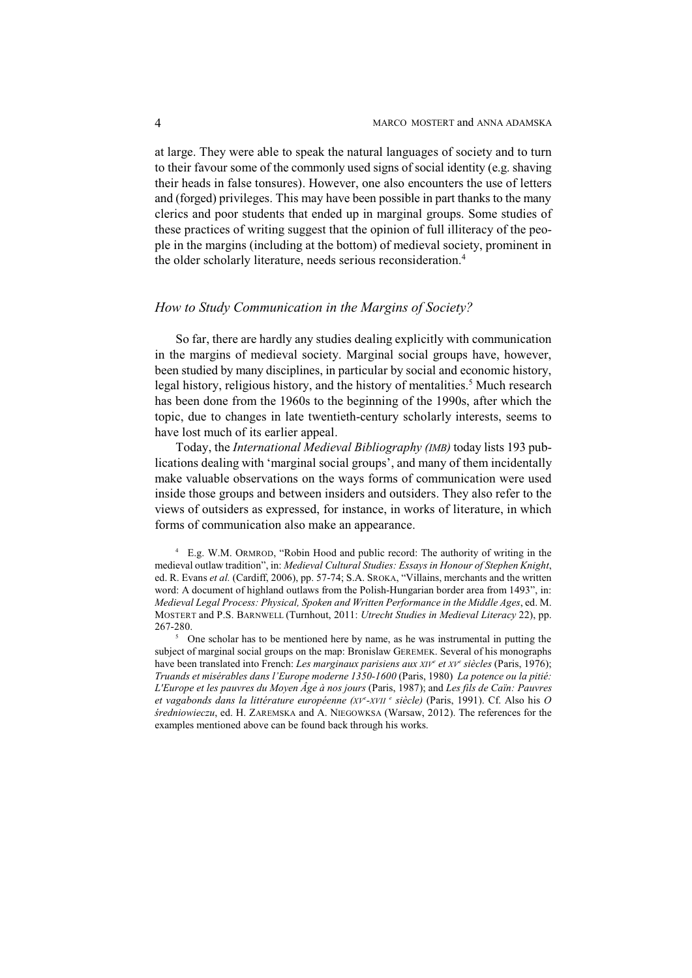at large. They were able to speak the natural languages of society and to turn to their favour some of the commonly used signs of social identity (e.g. shaving their heads in false tonsures). However, one also encounters the use of letters and (forged) privileges. This may have been possible in part thanks to the many clerics and poor students that ended up in marginal groups. Some studies of these practices of writing suggest that the opinion of full illiteracy of the people in the margins (including at the bottom) of medieval society, prominent in the older scholarly literature, needs serious reconsideration.<sup>4</sup>

# *How to Study Communication in the Margins of Society?*

So far, there are hardly any studies dealing explicitly with communication in the margins of medieval society. Marginal social groups have, however, been studied by many disciplines, in particular by social and economic history, legal history, religious history, and the history of mentalities.<sup>5</sup> Much research has been done from the 1960s to the beginning of the 1990s, after which the topic, due to changes in late twentieth-century scholarly interests, seems to have lost much of its earlier appeal.

Today, the *International Medieval Bibliography (IMB)* today lists 193 publications dealing with 'marginal social groups', and many of them incidentally make valuable observations on the ways forms of communication were used inside those groups and between insiders and outsiders. They also refer to the views of outsiders as expressed, for instance, in works of literature, in which forms of communication also make an appearance.

<sup>4</sup> E.g. W.M. ORMROD, "Robin Hood and public record: The authority of writing in the medieval outlaw tradition", in: *Medieval Cultural Studies: Essays in Honour of Stephen Knight*, ed. R. Evans *et al.* (Cardiff, 2006), pp. 57-74; S.A. SROKA, "Villains, merchants and the written word: A document of highland outlaws from the Polish-Hungarian border area from 1493", in: *Medieval Legal Process: Physical, Spoken and Written Performance in the Middle Ages*, ed. M. MOSTERT and P.S. BARNWELL (Turnhout, 2011: *Utrecht Studies in Medieval Literacy* 22), pp. 267-280.

<sup>5</sup> One scholar has to be mentioned here by name, as he was instrumental in putting the subject of marginal social groups on the map: Bronislaw GEREMEK. Several of his monographs have been translated into French: *Les marginaux parisiens aux XIV e et XV e siècles* (Paris, 1976); *Truands et misérables dans l'Europe moderne 1350-1600* (Paris, 1980) *La potence ou la pitié: L'Europe et les pauvres du Moyen Âge à nos jours* (Paris, 1987); and *Les fils de Caïn: Pauvres et vagabonds dans la littérature européenne (XV e -XVII e siècle)* (Paris, 1991). Cf. Also his *O œredniowieczu*, ed. H. ZAREMSKA and A. NIEGOWKSA (Warsaw, 2012). The references for the examples mentioned above can be found back through his works.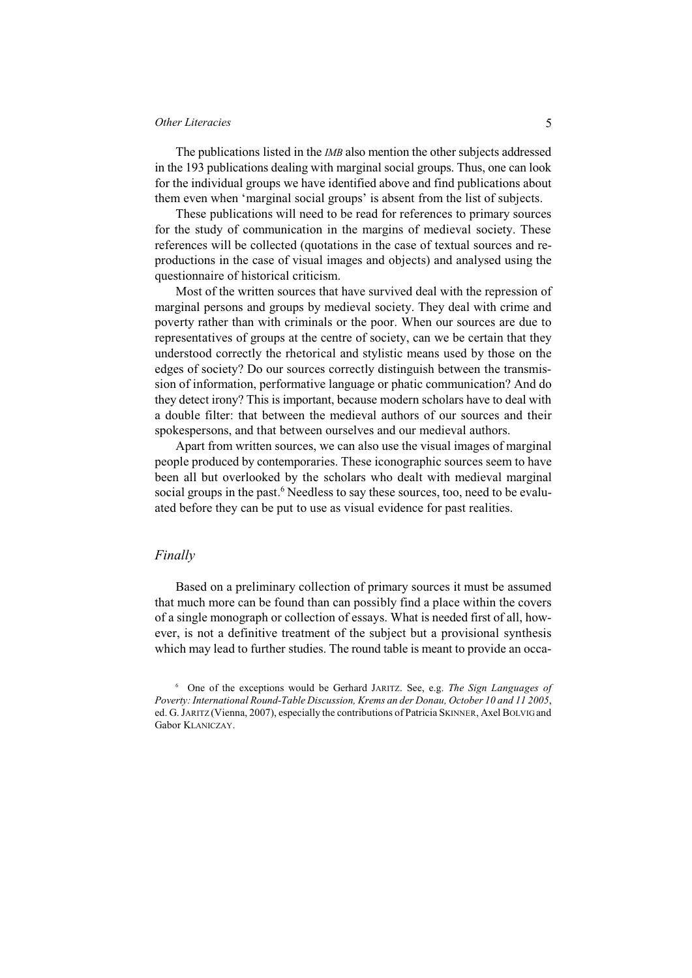#### *Other Literacies* 5

The publications listed in the *IMB* also mention the other subjects addressed in the 193 publications dealing with marginal social groups. Thus, one can look for the individual groups we have identified above and find publications about them even when 'marginal social groups' is absent from the list of subjects.

These publications will need to be read for references to primary sources for the study of communication in the margins of medieval society. These references will be collected (quotations in the case of textual sources and reproductions in the case of visual images and objects) and analysed using the questionnaire of historical criticism.

Most of the written sources that have survived deal with the repression of marginal persons and groups by medieval society. They deal with crime and poverty rather than with criminals or the poor. When our sources are due to representatives of groups at the centre of society, can we be certain that they understood correctly the rhetorical and stylistic means used by those on the edges of society? Do our sources correctly distinguish between the transmission of information, performative language or phatic communication? And do they detect irony? This is important, because modern scholars have to deal with a double filter: that between the medieval authors of our sources and their spokespersons, and that between ourselves and our medieval authors.

Apart from written sources, we can also use the visual images of marginal people produced by contemporaries. These iconographic sources seem to have been all but overlooked by the scholars who dealt with medieval marginal social groups in the past.<sup>6</sup> Needless to say these sources, too, need to be evaluated before they can be put to use as visual evidence for past realities.

# *Finally*

Based on a preliminary collection of primary sources it must be assumed that much more can be found than can possibly find a place within the covers of a single monograph or collection of essays. What is needed first of all, however, is not a definitive treatment of the subject but a provisional synthesis which may lead to further studies. The round table is meant to provide an occa-

<sup>6</sup> One of the exceptions would be Gerhard JARITZ. See, e.g. *The Sign Languages of Poverty: International Round-Table Discussion, Krems an der Donau, October 10 and 11 2005*, ed. G. JARITZ (Vienna, 2007), especially the contributions of Patricia SKINNER, Axel BOLVIG and Gabor KLANICZAY.